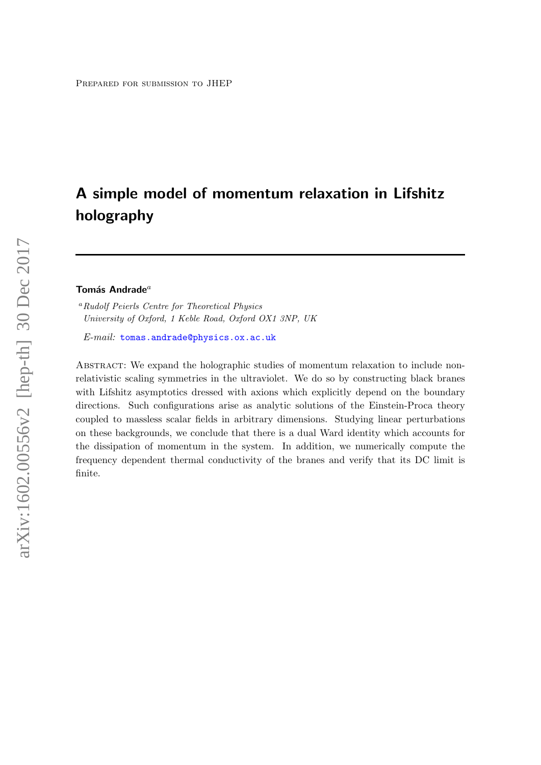# A simple model of momentum relaxation in Lifshitz holography

## Tomás Andrade $a$

<sup>a</sup>Rudolf Peierls Centre for Theoretical Physics University of Oxford, 1 Keble Road, Oxford OX1 3NP, UK

E-mail: [tomas.andrade@physics.ox.ac.uk](mailto:tomas.andrade@physics.ox.ac.uk)

ABSTRACT: We expand the holographic studies of momentum relaxation to include nonrelativistic scaling symmetries in the ultraviolet. We do so by constructing black branes with Lifshitz asymptotics dressed with axions which explicitly depend on the boundary directions. Such configurations arise as analytic solutions of the Einstein-Proca theory coupled to massless scalar fields in arbitrary dimensions. Studying linear perturbations on these backgrounds, we conclude that there is a dual Ward identity which accounts for the dissipation of momentum in the system. In addition, we numerically compute the frequency dependent thermal conductivity of the branes and verify that its DC limit is finite.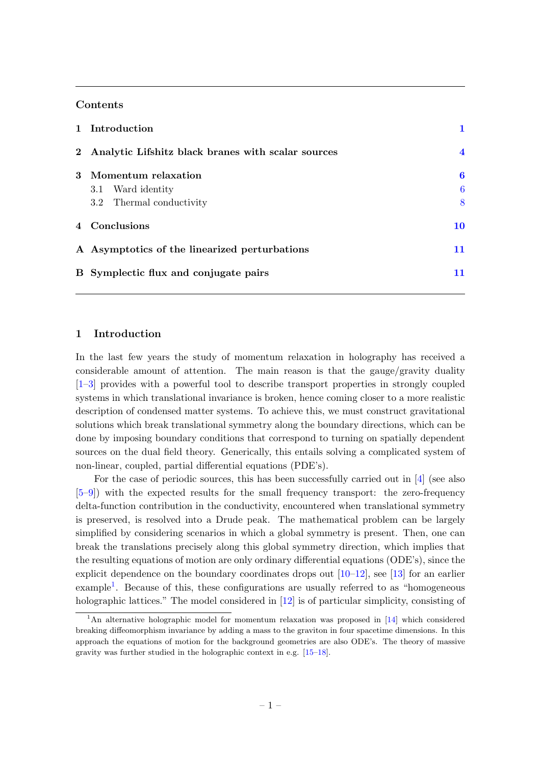# Contents

| 1 Introduction                                       |                |
|------------------------------------------------------|----------------|
| 2 Analytic Lifshitz black branes with scalar sources | $\overline{4}$ |
| 3 Momentum relaxation                                | 6              |
| 3.1 Ward identity                                    | 6              |
| 3.2 Thermal conductivity                             | 8              |
| 4 Conclusions                                        | 10             |
| A Asymptotics of the linearized perturbations        | 11             |
| B Symplectic flux and conjugate pairs                | 11             |

# <span id="page-1-0"></span>1 Introduction

In the last few years the study of momentum relaxation in holography has received a considerable amount of attention. The main reason is that the gauge/gravity duality [\[1](#page-13-0)[–3\]](#page-13-1) provides with a powerful tool to describe transport properties in strongly coupled systems in which translational invariance is broken, hence coming closer to a more realistic description of condensed matter systems. To achieve this, we must construct gravitational solutions which break translational symmetry along the boundary directions, which can be done by imposing boundary conditions that correspond to turning on spatially dependent sources on the dual field theory. Generically, this entails solving a complicated system of non-linear, coupled, partial differential equations (PDE's).

For the case of periodic sources, this has been successfully carried out in  $[4]$  (see also [\[5](#page-13-3)[–9\]](#page-13-4)) with the expected results for the small frequency transport: the zero-frequency delta-function contribution in the conductivity, encountered when translational symmetry is preserved, is resolved into a Drude peak. The mathematical problem can be largely simplified by considering scenarios in which a global symmetry is present. Then, one can break the translations precisely along this global symmetry direction, which implies that the resulting equations of motion are only ordinary differential equations (ODE's), since the explicit dependence on the boundary coordinates drops out  $[10-12]$  $[10-12]$ , see [\[13\]](#page-13-7) for an earlier example<sup>[1](#page-1-1)</sup>. Because of this, these configurations are usually referred to as "homogeneous holographic lattices." The model considered in [\[12\]](#page-13-6) is of particular simplicity, consisting of

<span id="page-1-1"></span><sup>&</sup>lt;sup>1</sup>An alternative holographic model for momentum relaxation was proposed in [\[14\]](#page-13-8) which considered breaking diffeomorphism invariance by adding a mass to the graviton in four spacetime dimensions. In this approach the equations of motion for the background geometries are also ODE's. The theory of massive gravity was further studied in the holographic context in e.g. [\[15–](#page-13-9)[18\]](#page-13-10).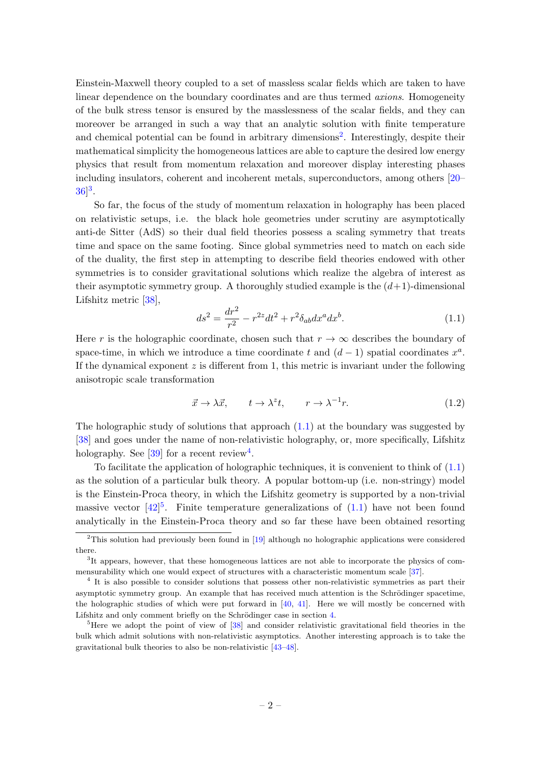Einstein-Maxwell theory coupled to a set of massless scalar fields which are taken to have linear dependence on the boundary coordinates and are thus termed *axions*. Homogeneity of the bulk stress tensor is ensured by the masslessness of the scalar fields, and they can moreover be arranged in such a way that an analytic solution with finite temperature and chemical potential can be found in arbitrary dimensions<sup>[2](#page-2-0)</sup>. Interestingly, despite their mathematical simplicity the homogeneous lattices are able to capture the desired low energy physics that result from momentum relaxation and moreover display interesting phases including insulators, coherent and incoherent metals, superconductors, among others [\[20–](#page-13-11)  $36^{3}$  $36^{3}$ .

So far, the focus of the study of momentum relaxation in holography has been placed on relativistic setups, i.e. the black hole geometries under scrutiny are asymptotically anti-de Sitter (AdS) so their dual field theories possess a scaling symmetry that treats time and space on the same footing. Since global symmetries need to match on each side of the duality, the first step in attempting to describe field theories endowed with other symmetries is to consider gravitational solutions which realize the algebra of interest as their asymptotic symmetry group. A thoroughly studied example is the  $(d+1)$ -dimensional Lifshitz metric [\[38\]](#page-14-1),

<span id="page-2-2"></span>
$$
ds^{2} = \frac{dr^{2}}{r^{2}} - r^{2z}dt^{2} + r^{2}\delta_{ab}dx^{a}dx^{b}.
$$
 (1.1)

Here r is the holographic coordinate, chosen such that  $r \to \infty$  describes the boundary of space-time, in which we introduce a time coordinate t and  $(d-1)$  spatial coordinates  $x^a$ . If the dynamical exponent  $z$  is different from 1, this metric is invariant under the following anisotropic scale transformation

$$
\vec{x} \to \lambda \vec{x}, \qquad t \to \lambda^z t, \qquad r \to \lambda^{-1} r. \tag{1.2}
$$

The holographic study of solutions that approach  $(1.1)$  at the boundary was suggested by [\[38\]](#page-14-1) and goes under the name of non-relativistic holography, or, more specifically, Lifshitz holography. See  $[39]$  for a recent review<sup>[4](#page-2-3)</sup>.

To facilitate the application of holographic techniques, it is convenient to think of [\(1.1\)](#page-2-2) as the solution of a particular bulk theory. A popular bottom-up (i.e. non-stringy) model is the Einstein-Proca theory, in which the Lifshitz geometry is supported by a non-trivial massive vector  $[42]^{5}$  $[42]^{5}$  $[42]^{5}$ . Finite temperature generalizations of  $(1.1)$  have not been found analytically in the Einstein-Proca theory and so far these have been obtained resorting

<span id="page-2-0"></span><sup>2</sup>This solution had previously been found in [\[19\]](#page-13-12) although no holographic applications were considered there.

<span id="page-2-1"></span><sup>&</sup>lt;sup>3</sup>It appears, however, that these homogeneous lattices are not able to incorporate the physics of commensurability which one would expect of structures with a characteristic momentum scale [\[37\]](#page-14-3).

<span id="page-2-3"></span><sup>&</sup>lt;sup>4</sup> It is also possible to consider solutions that possess other non-relativistic symmetries as part their asymptotic symmetry group. An example that has received much attention is the Schrödinger spacetime, the holographic studies of which were put forward in  $[40, 41]$  $[40, 41]$  $[40, 41]$ . Here we will mostly be concerned with Lifshitz and only comment briefly on the Schrödinger case in section [4.](#page-10-0)

<span id="page-2-4"></span><sup>&</sup>lt;sup>5</sup>Here we adopt the point of view of [\[38\]](#page-14-1) and consider relativistic gravitational field theories in the bulk which admit solutions with non-relativistic asymptotics. Another interesting approach is to take the gravitational bulk theories to also be non-relativistic [\[43–](#page-15-1)[48\]](#page-15-2).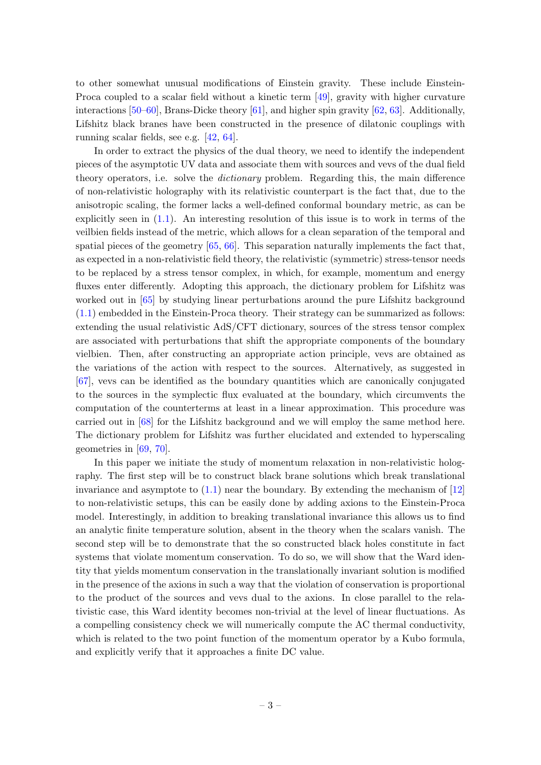to other somewhat unusual modifications of Einstein gravity. These include Einstein-Proca coupled to a scalar field without a kinetic term [\[49\]](#page-15-3), gravity with higher curvature interactions [\[50–](#page-15-4)[60\]](#page-15-5), Brans-Dicke theory [\[61\]](#page-15-6), and higher spin gravity [\[62,](#page-16-0) [63\]](#page-16-1). Additionally, Lifshitz black branes have been constructed in the presence of dilatonic couplings with running scalar fields, see e.g. [\[42,](#page-15-0) [64\]](#page-16-2).

In order to extract the physics of the dual theory, we need to identify the independent pieces of the asymptotic UV data and associate them with sources and vevs of the dual field theory operators, i.e. solve the *dictionary* problem. Regarding this, the main difference of non-relativistic holography with its relativistic counterpart is the fact that, due to the anisotropic scaling, the former lacks a well-defined conformal boundary metric, as can be explicitly seen in  $(1.1)$ . An interesting resolution of this issue is to work in terms of the veilbien fields instead of the metric, which allows for a clean separation of the temporal and spatial pieces of the geometry  $[65, 66]$  $[65, 66]$ . This separation naturally implements the fact that, as expected in a non-relativistic field theory, the relativistic (symmetric) stress-tensor needs to be replaced by a stress tensor complex, in which, for example, momentum and energy fluxes enter differently. Adopting this approach, the dictionary problem for Lifshitz was worked out in [\[65\]](#page-16-3) by studying linear perturbations around the pure Lifshitz background [\(1.1\)](#page-2-2) embedded in the Einstein-Proca theory. Their strategy can be summarized as follows: extending the usual relativistic AdS/CFT dictionary, sources of the stress tensor complex are associated with perturbations that shift the appropriate components of the boundary vielbien. Then, after constructing an appropriate action principle, vevs are obtained as the variations of the action with respect to the sources. Alternatively, as suggested in [\[67\]](#page-16-5), vevs can be identified as the boundary quantities which are canonically conjugated to the sources in the symplectic flux evaluated at the boundary, which circumvents the computation of the counterterms at least in a linear approximation. This procedure was carried out in [\[68\]](#page-16-6) for the Lifshitz background and we will employ the same method here. The dictionary problem for Lifshitz was further elucidated and extended to hyperscaling geometries in [\[69,](#page-16-7) [70\]](#page-16-8).

In this paper we initiate the study of momentum relaxation in non-relativistic holography. The first step will be to construct black brane solutions which break translational invariance and asymptote to  $(1.1)$  near the boundary. By extending the mechanism of  $[12]$ to non-relativistic setups, this can be easily done by adding axions to the Einstein-Proca model. Interestingly, in addition to breaking translational invariance this allows us to find an analytic finite temperature solution, absent in the theory when the scalars vanish. The second step will be to demonstrate that the so constructed black holes constitute in fact systems that violate momentum conservation. To do so, we will show that the Ward identity that yields momentum conservation in the translationally invariant solution is modified in the presence of the axions in such a way that the violation of conservation is proportional to the product of the sources and vevs dual to the axions. In close parallel to the relativistic case, this Ward identity becomes non-trivial at the level of linear fluctuations. As a compelling consistency check we will numerically compute the AC thermal conductivity, which is related to the two point function of the momentum operator by a Kubo formula, and explicitly verify that it approaches a finite DC value.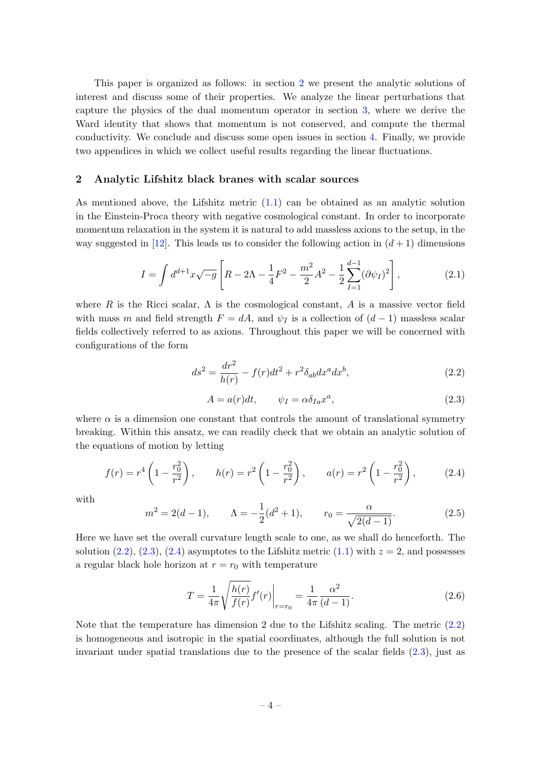This paper is organized as follows: in section [2](#page-4-0) we present the analytic solutions of interest and discuss some of their properties. We analyze the linear perturbations that capture the physics of the dual momentum operator in section [3,](#page-6-0) where we derive the Ward identity that shows that momentum is not conserved, and compute the thermal conductivity. We conclude and discuss some open issues in section [4.](#page-10-0) Finally, we provide two appendices in which we collect useful results regarding the linear fluctuations.

#### <span id="page-4-0"></span>2 Analytic Lifshitz black branes with scalar sources

As mentioned above, the Lifshitz metric [\(1.1\)](#page-2-2) can be obtained as an analytic solution in the Einstein-Proca theory with negative cosmological constant. In order to incorporate momentum relaxation in the system it is natural to add massless axions to the setup, in the way suggested in [\[12\]](#page-13-6). This leads us to consider the following action in  $(d+1)$  dimensions

$$
I = \int d^{d+1}x \sqrt{-g} \left[ R - 2\Lambda - \frac{1}{4}F^2 - \frac{m^2}{2}A^2 - \frac{1}{2}\sum_{I=1}^{d-1} (\partial \psi_I)^2 \right],\tag{2.1}
$$

where R is the Ricci scalar,  $\Lambda$  is the cosmological constant, A is a massive vector field with mass m and field strength  $F = dA$ , and  $\psi_I$  is a collection of  $(d-1)$  massless scalar fields collectively referred to as axions. Throughout this paper we will be concerned with configurations of the form

<span id="page-4-1"></span>
$$
ds^{2} = \frac{dr^{2}}{h(r)} - f(r)dt^{2} + r^{2}\delta_{ab}dx^{a}dx^{b},
$$
\n(2.2)

<span id="page-4-2"></span>
$$
A = a(r)dt, \qquad \psi_I = \alpha \delta_{Ia} x^a,
$$
\n(2.3)

where  $\alpha$  is a dimension one constant that controls the amount of translational symmetry breaking. Within this ansatz, we can readily check that we obtain an analytic solution of the equations of motion by letting

<span id="page-4-3"></span>
$$
f(r) = r^4 \left( 1 - \frac{r_0^2}{r^2} \right), \qquad h(r) = r^2 \left( 1 - \frac{r_0^2}{r^2} \right), \qquad a(r) = r^2 \left( 1 - \frac{r_0^2}{r^2} \right), \tag{2.4}
$$

with

<span id="page-4-4"></span>
$$
m^{2} = 2(d - 1), \qquad \Lambda = -\frac{1}{2}(d^{2} + 1), \qquad r_{0} = \frac{\alpha}{\sqrt{2(d - 1)}}.
$$
 (2.5)

Here we have set the overall curvature length scale to one, as we shall do henceforth. The solution [\(2.2\)](#page-4-1), [\(2.3\)](#page-4-2), [\(2.4\)](#page-4-3) asymptotes to the Lifshitz metric [\(1.1\)](#page-2-2) with  $z = 2$ , and possesses a regular black hole horizon at  $r = r_0$  with temperature

$$
T = \frac{1}{4\pi} \sqrt{\frac{h(r)}{f(r)}} f'(r) \bigg|_{r=r_0} = \frac{1}{4\pi} \frac{\alpha^2}{(d-1)}.
$$
 (2.6)

Note that the temperature has dimension 2 due to the Lifshitz scaling. The metric  $(2.2)$ is homogeneous and isotropic in the spatial coordinates, although the full solution is not invariant under spatial translations due to the presence of the scalar fields  $(2.3)$ , just as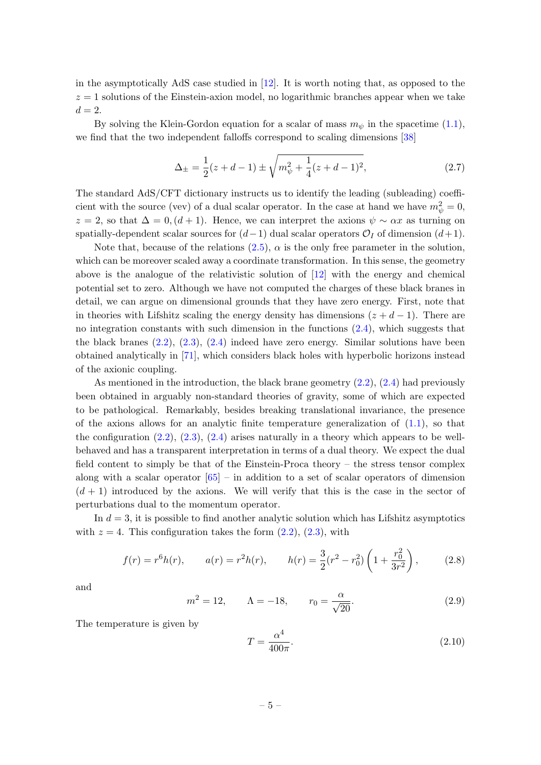in the asymptotically AdS case studied in [\[12\]](#page-13-6). It is worth noting that, as opposed to the  $z = 1$  solutions of the Einstein-axion model, no logarithmic branches appear when we take  $d=2$ .

By solving the Klein-Gordon equation for a scalar of mass  $m_{\psi}$  in the spacetime [\(1.1\)](#page-2-2), we find that the two independent falloffs correspond to scaling dimensions [\[38\]](#page-14-1)

$$
\Delta_{\pm} = \frac{1}{2}(z+d-1) \pm \sqrt{m_{\psi}^2 + \frac{1}{4}(z+d-1)^2},\tag{2.7}
$$

The standard AdS/CFT dictionary instructs us to identify the leading (subleading) coefficient with the source (vev) of a dual scalar operator. In the case at hand we have  $m_{\psi}^2 = 0$ ,  $z = 2$ , so that  $\Delta = 0$ ,  $(d+1)$ . Hence, we can interpret the axions  $\psi \sim \alpha x$  as turning on spatially-dependent scalar sources for  $(d-1)$  dual scalar operators  $\mathcal{O}_I$  of dimension  $(d+1)$ .

Note that, because of the relations  $(2.5)$ ,  $\alpha$  is the only free parameter in the solution, which can be moreover scaled away a coordinate transformation. In this sense, the geometry above is the analogue of the relativistic solution of [\[12\]](#page-13-6) with the energy and chemical potential set to zero. Although we have not computed the charges of these black branes in detail, we can argue on dimensional grounds that they have zero energy. First, note that in theories with Lifshitz scaling the energy density has dimensions  $(z + d - 1)$ . There are no integration constants with such dimension in the functions [\(2.4\)](#page-4-3), which suggests that the black branes [\(2.2\)](#page-4-1), [\(2.3\)](#page-4-2), [\(2.4\)](#page-4-3) indeed have zero energy. Similar solutions have been obtained analytically in [\[71\]](#page-16-9), which considers black holes with hyperbolic horizons instead of the axionic coupling.

As mentioned in the introduction, the black brane geometry [\(2.2\)](#page-4-1), [\(2.4\)](#page-4-3) had previously been obtained in arguably non-standard theories of gravity, some of which are expected to be pathological. Remarkably, besides breaking translational invariance, the presence of the axions allows for an analytic finite temperature generalization of  $(1.1)$ , so that the configuration  $(2.2)$ ,  $(2.3)$ ,  $(2.4)$  arises naturally in a theory which appears to be wellbehaved and has a transparent interpretation in terms of a dual theory. We expect the dual field content to simply be that of the Einstein-Proca theory – the stress tensor complex along with a scalar operator  $[65]$  – in addition to a set of scalar operators of dimension  $(d + 1)$  introduced by the axions. We will verify that this is the case in the sector of perturbations dual to the momentum operator.

In  $d = 3$ , it is possible to find another analytic solution which has Lifshitz asymptotics with  $z = 4$ . This configuration takes the form  $(2.2)$ ,  $(2.3)$ , with

$$
f(r) = r^{6}h(r), \qquad a(r) = r^{2}h(r), \qquad h(r) = \frac{3}{2}(r^{2} - r_{0}^{2})\left(1 + \frac{r_{0}^{2}}{3r^{2}}\right), \qquad (2.8)
$$

and

$$
m^2 = 12
$$
,  $\Lambda = -18$ ,  $r_0 = \frac{\alpha}{\sqrt{20}}$ . (2.9)

The temperature is given by

$$
T = \frac{\alpha^4}{400\pi}.\tag{2.10}
$$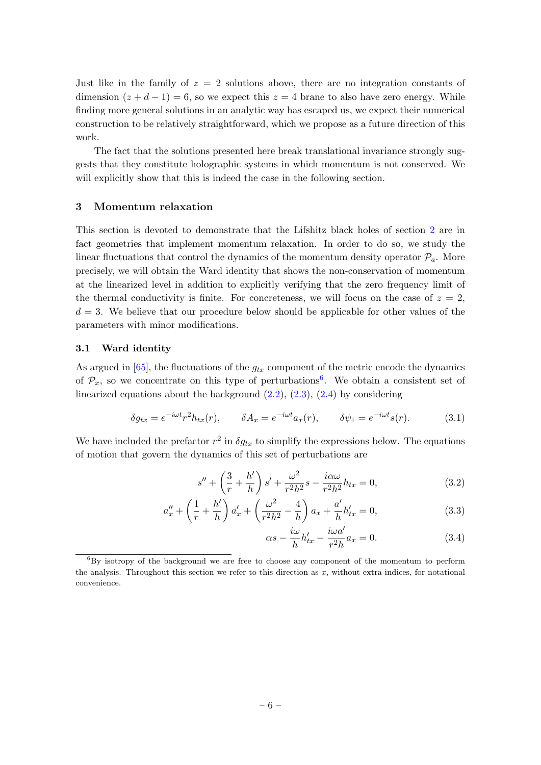Just like in the family of  $z = 2$  solutions above, there are no integration constants of dimension  $(z+d-1)=6$ , so we expect this  $z=4$  brane to also have zero energy. While finding more general solutions in an analytic way has escaped us, we expect their numerical construction to be relatively straightforward, which we propose as a future direction of this work.

The fact that the solutions presented here break translational invariance strongly suggests that they constitute holographic systems in which momentum is not conserved. We will explicitly show that this is indeed the case in the following section.

#### <span id="page-6-0"></span>3 Momentum relaxation

This section is devoted to demonstrate that the Lifshitz black holes of section [2](#page-4-0) are in fact geometries that implement momentum relaxation. In order to do so, we study the linear fluctuations that control the dynamics of the momentum density operator  $\mathcal{P}_a$ . More precisely, we will obtain the Ward identity that shows the non-conservation of momentum at the linearized level in addition to explicitly verifying that the zero frequency limit of the thermal conductivity is finite. For concreteness, we will focus on the case of  $z = 2$ ,  $d = 3$ . We believe that our procedure below should be applicable for other values of the parameters with minor modifications.

#### <span id="page-6-1"></span>3.1 Ward identity

As argued in  $[65]$ , the fluctuations of the  $g_{tx}$  component of the metric encode the dynamics of  $\mathcal{P}_x$ , so we concentrate on this type of perturbations<sup>[6](#page-6-2)</sup>. We obtain a consistent set of linearized equations about the background  $(2.2)$ ,  $(2.3)$ ,  $(2.4)$  by considering

<span id="page-6-3"></span>
$$
\delta g_{tx} = e^{-i\omega t} r^2 h_{tx}(r), \qquad \delta A_x = e^{-i\omega t} a_x(r), \qquad \delta \psi_1 = e^{-i\omega t} s(r). \tag{3.1}
$$

We have included the prefactor  $r^2$  in  $\delta g_{tx}$  to simplify the expressions below. The equations of motion that govern the dynamics of this set of perturbations are

$$
s'' + \left(\frac{3}{r} + \frac{h'}{h}\right)s' + \frac{\omega^2}{r^2h^2}s - \frac{i\alpha\omega}{r^2h^2}h_{tx} = 0,
$$
 (3.2)

$$
a''_x + \left(\frac{1}{r} + \frac{h'}{h}\right) a'_x + \left(\frac{\omega^2}{r^2 h^2} - \frac{4}{h}\right) a_x + \frac{a'}{h} h'_{tx} = 0,
$$
\n(3.3)

<span id="page-6-5"></span><span id="page-6-4"></span>
$$
\alpha s - \frac{i\omega}{h}h'_{tx} - \frac{i\omega a'}{r^2h}a_x = 0.
$$
\n(3.4)

<span id="page-6-2"></span> ${}^{6}$ By isotropy of the background we are free to choose any component of the momentum to perform the analysis. Throughout this section we refer to this direction as  $x$ , without extra indices, for notational convenience.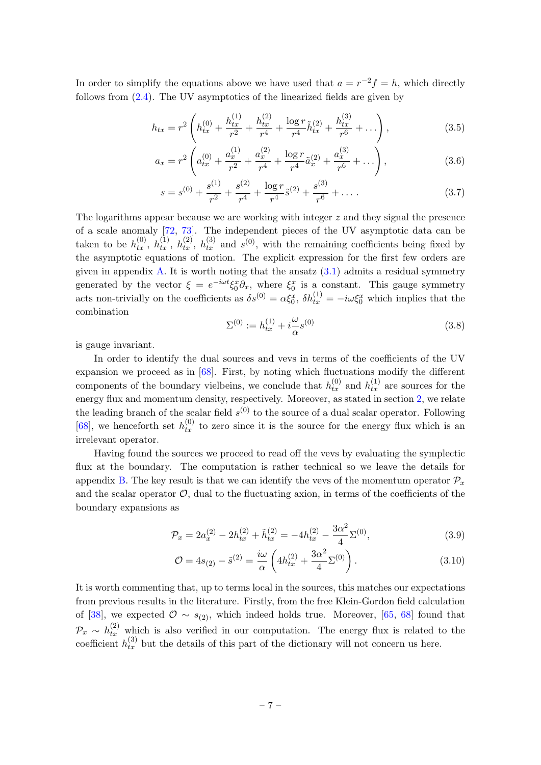In order to simplify the equations above we have used that  $a = r^{-2}f = h$ , which directly follows from [\(2.4\)](#page-4-3). The UV asymptotics of the linearized fields are given by

$$
h_{tx} = r^2 \left( h_{tx}^{(0)} + \frac{h_{tx}^{(1)}}{r^2} + \frac{h_{tx}^{(2)}}{r^4} + \frac{\log r}{r^4} \tilde{h}_{tx}^{(2)} + \frac{h_{tx}^{(3)}}{r^6} + \dots \right),\tag{3.5}
$$

<span id="page-7-3"></span>
$$
a_x = r^2 \left( a_{tx}^{(0)} + \frac{a_x^{(1)}}{r^2} + \frac{a_x^{(2)}}{r^4} + \frac{\log r}{r^4} \tilde{a}_x^{(2)} + \frac{a_x^{(3)}}{r^6} + \dots \right),\tag{3.6}
$$

$$
s = s^{(0)} + \frac{s^{(1)}}{r^2} + \frac{s^{(2)}}{r^4} + \frac{\log r}{r^4} \tilde{s}^{(2)} + \frac{s^{(3)}}{r^6} + \dots
$$
 (3.7)

The logarithms appear because we are working with integer z and they signal the presence of a scale anomaly [\[72,](#page-16-10) [73\]](#page-16-11). The independent pieces of the UV asymptotic data can be taken to be  $h_{tx}^{(0)}$ ,  $h_{tx}^{(1)}$ ,  $h_{tx}^{(2)}$ ,  $h_{tx}^{(3)}$  and  $s^{(0)}$ , with the remaining coefficients being fixed by the asymptotic equations of motion. The explicit expression for the first few orders are given in appendix  $\overline{A}$ . It is worth noting that the ansatz  $(3.1)$  admits a residual symmetry generated by the vector  $\xi = e^{-i\omega t} \xi_0^x \partial_x$ , where  $\xi_0^x$  is a constant. This gauge symmetry acts non-trivially on the coefficients as  $\delta s^{(0)} = \alpha \xi_0^x$ ,  $\delta h_{tx}^{(1)} = -i\omega \xi_0^x$  which implies that the combination

<span id="page-7-4"></span><span id="page-7-2"></span>
$$
\Sigma^{(0)} := h_{tx}^{(1)} + i\frac{\omega}{\alpha}s^{(0)}
$$
\n(3.8)

is gauge invariant.

In order to identify the dual sources and vevs in terms of the coefficients of the UV expansion we proceed as in [\[68\]](#page-16-6). First, by noting which fluctuations modify the different components of the boundary vielbeins, we conclude that  $h_{tx}^{(0)}$  and  $h_{tx}^{(1)}$  are sources for the energy flux and momentum density, respectively. Moreover, as stated in section [2,](#page-4-0) we relate the leading branch of the scalar field  $s^{(0)}$  to the source of a dual scalar operator. Following [\[68\]](#page-16-6), we henceforth set  $h_{tx}^{(0)}$  to zero since it is the source for the energy flux which is an irrelevant operator.

Having found the sources we proceed to read off the vevs by evaluating the symplectic flux at the boundary. The computation is rather technical so we leave the details for appendix [B.](#page-11-1) The key result is that we can identify the vevs of the momentum operator  $\mathcal{P}_x$ and the scalar operator  $\mathcal{O}$ , dual to the fluctuating axion, in terms of the coefficients of the boundary expansions as

$$
\mathcal{P}_x = 2a_x^{(2)} - 2h_{tx}^{(2)} + \tilde{h}_{tx}^{(2)} = -4h_{tx}^{(2)} - \frac{3\alpha^2}{4}\Sigma^{(0)},\tag{3.9}
$$

<span id="page-7-1"></span><span id="page-7-0"></span>
$$
\mathcal{O} = 4s_{(2)} - \tilde{s}^{(2)} = \frac{i\omega}{\alpha} \left( 4h_{tx}^{(2)} + \frac{3\alpha^2}{4} \Sigma^{(0)} \right). \tag{3.10}
$$

It is worth commenting that, up to terms local in the sources, this matches our expectations from previous results in the literature. Firstly, from the free Klein-Gordon field calculation of [\[38\]](#page-14-1), we expected  $\mathcal{O} \sim s_{(2)}$ , which indeed holds true. Moreover, [\[65,](#page-16-3) [68\]](#page-16-6) found that  $\mathcal{P}_x \sim h_{tx}^{(2)}$  which is also verified in our computation. The energy flux is related to the coefficient  $h_{tx}^{(3)}$  but the details of this part of the dictionary will not concern us here.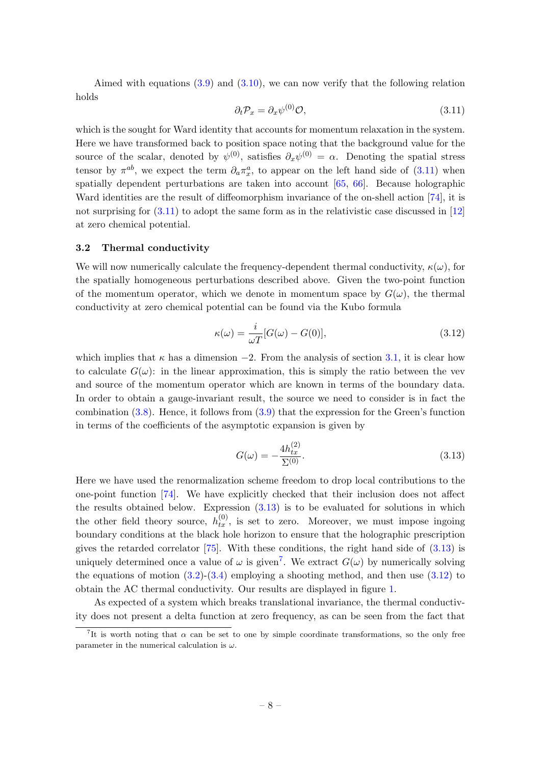Aimed with equations  $(3.9)$  and  $(3.10)$ , we can now verify that the following relation holds

<span id="page-8-1"></span>
$$
\partial_t \mathcal{P}_x = \partial_x \psi^{(0)} \mathcal{O},\tag{3.11}
$$

which is the sought for Ward identity that accounts for momentum relaxation in the system. Here we have transformed back to position space noting that the background value for the source of the scalar, denoted by  $\psi^{(0)}$ , satisfies  $\partial_x \psi^{(0)} = \alpha$ . Denoting the spatial stress tensor by  $\pi^{ab}$ , we expect the term  $\partial_a \pi^a_x$ , to appear on the left hand side of [\(3.11\)](#page-8-1) when spatially dependent perturbations are taken into account [\[65,](#page-16-3) [66\]](#page-16-4). Because holographic Ward identities are the result of diffeomorphism invariance of the on-shell action [\[74\]](#page-16-12), it is not surprising for  $(3.11)$  to adopt the same form as in the relativistic case discussed in [\[12\]](#page-13-6) at zero chemical potential.

#### <span id="page-8-0"></span>3.2 Thermal conductivity

We will now numerically calculate the frequency-dependent thermal conductivity,  $\kappa(\omega)$ , for the spatially homogeneous perturbations described above. Given the two-point function of the momentum operator, which we denote in momentum space by  $G(\omega)$ , the thermal conductivity at zero chemical potential can be found via the Kubo formula

<span id="page-8-4"></span>
$$
\kappa(\omega) = \frac{i}{\omega T} [G(\omega) - G(0)],\tag{3.12}
$$

which implies that  $\kappa$  has a dimension  $-2$ . From the analysis of section [3.1,](#page-6-1) it is clear how to calculate  $G(\omega)$ : in the linear approximation, this is simply the ratio between the vev and source of the momentum operator which are known in terms of the boundary data. In order to obtain a gauge-invariant result, the source we need to consider is in fact the combination  $(3.8)$ . Hence, it follows from  $(3.9)$  that the expression for the Green's function in terms of the coefficients of the asymptotic expansion is given by

<span id="page-8-2"></span>
$$
G(\omega) = -\frac{4h_{tx}^{(2)}}{\Sigma^{(0)}}.\t(3.13)
$$

Here we have used the renormalization scheme freedom to drop local contributions to the one-point function [\[74\]](#page-16-12). We have explicitly checked that their inclusion does not affect the results obtained below. Expression  $(3.13)$  is to be evaluated for solutions in which the other field theory source,  $h_{tx}^{(0)}$ , is set to zero. Moreover, we must impose ingoing boundary conditions at the black hole horizon to ensure that the holographic prescription gives the retarded correlator [\[75\]](#page-16-13). With these conditions, the right hand side of [\(3.13\)](#page-8-2) is uniquely determined once a value of  $\omega$  is given<sup>[7](#page-8-3)</sup>. We extract  $G(\omega)$  by numerically solving the equations of motion  $(3.2)$ - $(3.4)$  employing a shooting method, and then use  $(3.12)$  to obtain the AC thermal conductivity. Our results are displayed in figure [1.](#page-9-0)

As expected of a system which breaks translational invariance, the thermal conductivity does not present a delta function at zero frequency, as can be seen from the fact that

<span id="page-8-3"></span><sup>&</sup>lt;sup>7</sup>It is worth noting that  $\alpha$  can be set to one by simple coordinate transformations, so the only free parameter in the numerical calculation is  $\omega$ .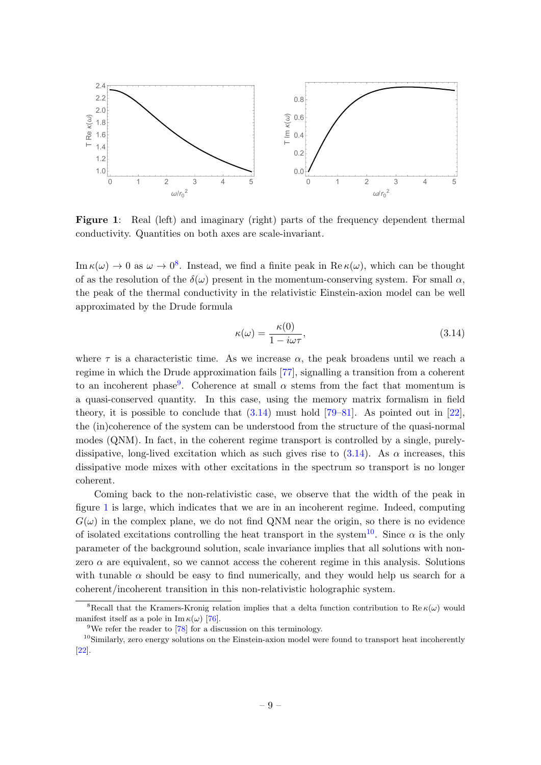<span id="page-9-0"></span>

Figure 1: Real (left) and imaginary (right) parts of the frequency dependent thermal conductivity. Quantities on both axes are scale-invariant.

 $\text{Im}\,\kappa(\omega) \to 0$  as  $\omega \to 0^8$  $\omega \to 0^8$ . Instead, we find a finite peak in  $\text{Re}\,\kappa(\omega)$ , which can be thought of as the resolution of the  $\delta(\omega)$  present in the momentum-conserving system. For small  $\alpha$ , the peak of the thermal conductivity in the relativistic Einstein-axion model can be well approximated by the Drude formula

<span id="page-9-3"></span>
$$
\kappa(\omega) = \frac{\kappa(0)}{1 - i\omega\tau},\tag{3.14}
$$

where  $\tau$  is a characteristic time. As we increase  $\alpha$ , the peak broadens until we reach a regime in which the Drude approximation fails [\[77\]](#page-16-14), signalling a transition from a coherent to an incoherent phase<sup>[9](#page-9-2)</sup>. Coherence at small  $\alpha$  stems from the fact that momentum is a quasi-conserved quantity. In this case, using the memory matrix formalism in field theory, it is possible to conclude that  $(3.14)$  must hold  $[79-81]$  $[79-81]$ . As pointed out in [\[22\]](#page-14-6), the (in)coherence of the system can be understood from the structure of the quasi-normal modes (QNM). In fact, in the coherent regime transport is controlled by a single, purelydissipative, long-lived excitation which as such gives rise to  $(3.14)$ . As  $\alpha$  increases, this dissipative mode mixes with other excitations in the spectrum so transport is no longer coherent.

Coming back to the non-relativistic case, we observe that the width of the peak in figure [1](#page-9-0) is large, which indicates that we are in an incoherent regime. Indeed, computing  $G(\omega)$  in the complex plane, we do not find QNM near the origin, so there is no evidence of isolated excitations controlling the heat transport in the system<sup>[10](#page-9-4)</sup>. Since  $\alpha$  is the only parameter of the background solution, scale invariance implies that all solutions with nonzero  $\alpha$  are equivalent, so we cannot access the coherent regime in this analysis. Solutions with tunable  $\alpha$  should be easy to find numerically, and they would help us search for a coherent/incoherent transition in this non-relativistic holographic system.

<span id="page-9-1"></span><sup>&</sup>lt;sup>8</sup>Recall that the Kramers-Kronig relation implies that a delta function contribution to Re  $\kappa(\omega)$  would manifest itself as a pole in Im  $\kappa(\omega)$  [\[76\]](#page-16-17).

<span id="page-9-4"></span><span id="page-9-2"></span><sup>&</sup>lt;sup>9</sup>We refer the reader to  $[78]$  for a discussion on this terminology.

<sup>&</sup>lt;sup>10</sup>Similarly, zero energy solutions on the Einstein-axion model were found to transport heat incoherently [\[22\]](#page-14-6).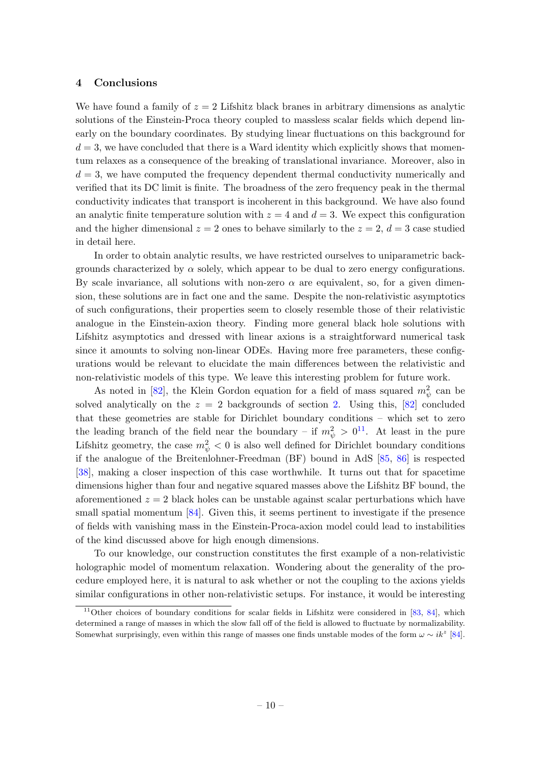## <span id="page-10-0"></span>4 Conclusions

We have found a family of  $z = 2$  Lifshitz black branes in arbitrary dimensions as analytic solutions of the Einstein-Proca theory coupled to massless scalar fields which depend linearly on the boundary coordinates. By studying linear fluctuations on this background for  $d = 3$ , we have concluded that there is a Ward identity which explicitly shows that momentum relaxes as a consequence of the breaking of translational invariance. Moreover, also in  $d = 3$ , we have computed the frequency dependent thermal conductivity numerically and verified that its DC limit is finite. The broadness of the zero frequency peak in the thermal conductivity indicates that transport is incoherent in this background. We have also found an analytic finite temperature solution with  $z = 4$  and  $d = 3$ . We expect this configuration and the higher dimensional  $z = 2$  ones to behave similarly to the  $z = 2$ ,  $d = 3$  case studied in detail here.

In order to obtain analytic results, we have restricted ourselves to uniparametric backgrounds characterized by  $\alpha$  solely, which appear to be dual to zero energy configurations. By scale invariance, all solutions with non-zero  $\alpha$  are equivalent, so, for a given dimension, these solutions are in fact one and the same. Despite the non-relativistic asymptotics of such configurations, their properties seem to closely resemble those of their relativistic analogue in the Einstein-axion theory. Finding more general black hole solutions with Lifshitz asymptotics and dressed with linear axions is a straightforward numerical task since it amounts to solving non-linear ODEs. Having more free parameters, these configurations would be relevant to elucidate the main differences between the relativistic and non-relativistic models of this type. We leave this interesting problem for future work.

As noted in [\[82\]](#page-17-0), the Klein Gordon equation for a field of mass squared  $m_{\psi}^2$  can be solved analytically on the  $z = 2$  backgrounds of section [2.](#page-4-0) Using this, [\[82\]](#page-17-0) concluded that these geometries are stable for Dirichlet boundary conditions – which set to zero the leading branch of the field near the boundary – if  $m_{\psi}^2 > 0^{11}$  $m_{\psi}^2 > 0^{11}$  $m_{\psi}^2 > 0^{11}$ . At least in the pure Lifshitz geometry, the case  $m_{\psi}^2 < 0$  is also well defined for Dirichlet boundary conditions if the analogue of the Breitenlohner-Freedman (BF) bound in AdS [\[85,](#page-17-1) [86\]](#page-17-2) is respected [\[38\]](#page-14-1), making a closer inspection of this case worthwhile. It turns out that for spacetime dimensions higher than four and negative squared masses above the Lifshitz BF bound, the aforementioned  $z = 2$  black holes can be unstable against scalar perturbations which have small spatial momentum  $[84]$ . Given this, it seems pertinent to investigate if the presence of fields with vanishing mass in the Einstein-Proca-axion model could lead to instabilities of the kind discussed above for high enough dimensions.

To our knowledge, our construction constitutes the first example of a non-relativistic holographic model of momentum relaxation. Wondering about the generality of the procedure employed here, it is natural to ask whether or not the coupling to the axions yields similar configurations in other non-relativistic setups. For instance, it would be interesting

<span id="page-10-1"></span><sup>&</sup>lt;sup>11</sup>Other choices of boundary conditions for scalar fields in Lifshitz were considered in [\[83,](#page-17-4) [84\]](#page-17-3), which determined a range of masses in which the slow fall off of the field is allowed to fluctuate by normalizability. Somewhat surprisingly, even within this range of masses one finds unstable modes of the form  $\omega \sim i k^z$  [\[84\]](#page-17-3).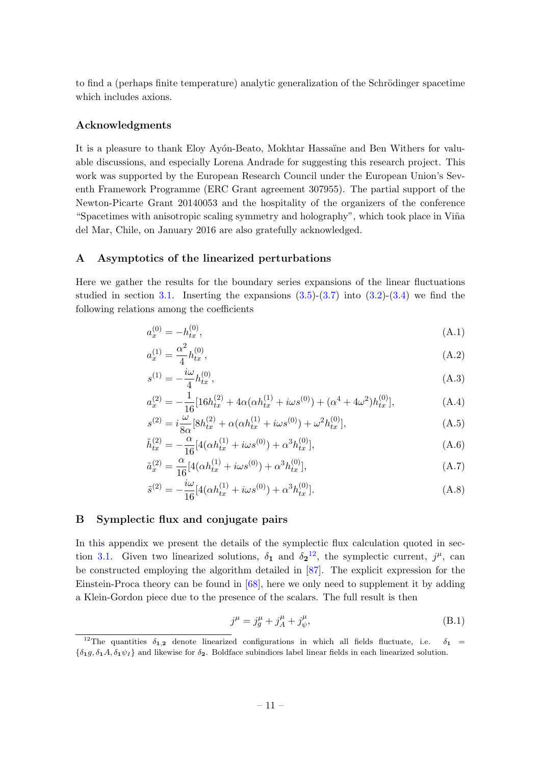to find a (perhaps finite temperature) analytic generalization of the Schrödinger spacetime which includes axions.

## Acknowledgments

It is a pleasure to thank Eloy Ayón-Beato, Mokhtar Hassaïne and Ben Withers for valuable discussions, and especially Lorena Andrade for suggesting this research project. This work was supported by the European Research Council under the European Union's Seventh Framework Programme (ERC Grant agreement 307955). The partial support of the Newton-Picarte Grant 20140053 and the hospitality of the organizers of the conference "Spacetimes with anisotropic scaling symmetry and holography", which took place in Viña del Mar, Chile, on January 2016 are also gratefully acknowledged.

#### <span id="page-11-0"></span>A Asymptotics of the linearized perturbations

Here we gather the results for the boundary series expansions of the linear fluctuations studied in section [3.1.](#page-6-1) Inserting the expansions  $(3.5)-(3.7)$  $(3.5)-(3.7)$  into  $(3.2)-(3.4)$  $(3.2)-(3.4)$  we find the following relations among the coefficients

$$
a_x^{(0)} = -h_{tx}^{(0)},\tag{A.1}
$$

$$
a_x^{(1)} = \frac{\alpha^2}{4} h_{tx}^{(0)},\tag{A.2}
$$

$$
s^{(1)} = -\frac{i\omega}{4}h_{tx}^{(0)},\tag{A.3}
$$

$$
a_x^{(2)} = -\frac{1}{16} [16h_{tx}^{(2)} + 4\alpha(\alpha h_{tx}^{(1)} + i\omega s^{(0)}) + (\alpha^4 + 4\omega^2)h_{tx}^{(0)}],
$$
 (A.4)

$$
s^{(2)} = i\frac{\omega}{8\alpha} [8h_{tx}^{(2)} + \alpha(\alpha h_{tx}^{(1)} + i\omega s^{(0)}) + \omega^2 h_{tx}^{(0)}],
$$
 (A.5)

$$
\tilde{h}_{tx}^{(2)} = -\frac{\alpha}{16} [4(\alpha h_{tx}^{(1)} + i\omega s^{(0)}) + \alpha^3 h_{tx}^{(0)}],
$$
\n(A.6)

$$
\tilde{a}_x^{(2)} = \frac{\alpha}{16} [4(\alpha h_{tx}^{(1)} + i\omega s^{(0)}) + \alpha^3 h_{tx}^{(0)}],\tag{A.7}
$$

$$
\tilde{s}^{(2)} = -\frac{i\omega}{16} [4(\alpha h_{tx}^{(1)} + i\omega s^{(0)}) + \alpha^3 h_{tx}^{(0)}].
$$
\n(A.8)

# <span id="page-11-1"></span>B Symplectic flux and conjugate pairs

In this appendix we present the details of the symplectic flux calculation quoted in sec-tion [3.1.](#page-6-1) Given two linearized solutions,  $\delta_1$  and  $\delta_2$ <sup>[12](#page-11-2)</sup>, the symplectic current,  $j^{\mu}$ , can be constructed employing the algorithm detailed in [\[87\]](#page-17-5). The explicit expression for the Einstein-Proca theory can be found in [\[68\]](#page-16-6), here we only need to supplement it by adding a Klein-Gordon piece due to the presence of the scalars. The full result is then

$$
j^{\mu} = j_g^{\mu} + j_A^{\mu} + j_{\psi}^{\mu}, \tag{B.1}
$$

<span id="page-11-2"></span><sup>&</sup>lt;sup>12</sup>The quantities  $\delta_{1,2}$  denote linearized configurations in which all fields fluctuate, i.e.  $\delta_1$  =  ${\delta_1 g, \delta_1 A, \delta_1 \psi_I}$  and likewise for  $\delta_2$ . Boldface subindices label linear fields in each linearized solution.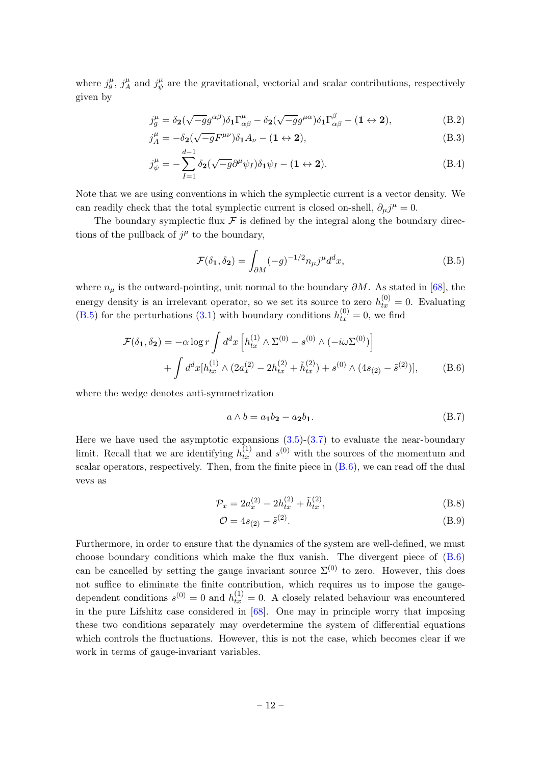where  $j^{\mu}_g$ ,  $j^{\mu}_A$  $j^{\mu}_A$  and  $j^{\mu}_{\psi}$  $\mu$ <sup> $\mu$ </sup> are the gravitational, vectorial and scalar contributions, respectively given by

$$
j_g^{\mu} = \delta_2(\sqrt{-g}g^{\alpha\beta})\delta_1\Gamma^{\mu}_{\alpha\beta} - \delta_2(\sqrt{-g}g^{\mu\alpha})\delta_1\Gamma^{\beta}_{\alpha\beta} - (1 \leftrightarrow 2),
$$
(B.2)

$$
j_A^{\mu} = -\delta_2(\sqrt{-g}F^{\mu\nu})\delta_1 A_{\nu} - (1 \leftrightarrow 2), \tag{B.3}
$$

$$
j_{\psi}^{\mu} = -\sum_{I=1}^{d-1} \delta_{\mathbf{2}}(\sqrt{-g}\partial^{\mu}\psi_{I})\delta_{\mathbf{1}}\psi_{I} - (\mathbf{1} \leftrightarrow \mathbf{2}). \tag{B.4}
$$

Note that we are using conventions in which the symplectic current is a vector density. We can readily check that the total symplectic current is closed on-shell,  $\partial_{\mu}j^{\mu} = 0$ .

The boundary symplectic flux  $\mathcal F$  is defined by the integral along the boundary directions of the pullback of  $j^{\mu}$  to the boundary,

<span id="page-12-0"></span>
$$
\mathcal{F}(\delta_1, \delta_2) = \int_{\partial M} (-g)^{-1/2} n_{\mu} j^{\mu} d^d x,\tag{B.5}
$$

where  $n_{\mu}$  is the outward-pointing, unit normal to the boundary  $\partial M$ . As stated in [\[68\]](#page-16-6), the energy density is an irrelevant operator, so we set its source to zero  $h_{tx}^{(0)} = 0$ . Evaluating [\(B.5\)](#page-12-0) for the perturbations [\(3.1\)](#page-6-3) with boundary conditions  $h_{tx}^{(0)} = 0$ , we find

$$
\mathcal{F}(\delta_1, \delta_2) = -\alpha \log r \int d^d x \left[ h_{tx}^{(1)} \wedge \Sigma^{(0)} + s^{(0)} \wedge (-i\omega \Sigma^{(0)}) \right] + \int d^d x [h_{tx}^{(1)} \wedge (2a_x^{(2)} - 2h_{tx}^{(2)} + \tilde{h}_{tx}^{(2)}) + s^{(0)} \wedge (4s_{(2)} - \tilde{s}^{(2)})], \tag{B.6}
$$

where the wedge denotes anti-symmetrization

<span id="page-12-1"></span>
$$
a \wedge b = a_1 b_2 - a_2 b_1. \tag{B.7}
$$

Here we have used the asymptotic expansions  $(3.5)-(3.7)$  $(3.5)-(3.7)$  to evaluate the near-boundary limit. Recall that we are identifying  $h_{tx}^{(1)}$  and  $s^{(0)}$  with the sources of the momentum and scalar operators, respectively. Then, from the finite piece in  $(B.6)$ , we can read off the dual vevs as

$$
\mathcal{P}_x = 2a_x^{(2)} - 2h_{tx}^{(2)} + \tilde{h}_{tx}^{(2)},\tag{B.8}
$$

$$
\mathcal{O} = 4s_{(2)} - \tilde{s}^{(2)}.
$$
 (B.9)

Furthermore, in order to ensure that the dynamics of the system are well-defined, we must choose boundary conditions which make the flux vanish. The divergent piece of  $(B.6)$ can be cancelled by setting the gauge invariant source  $\Sigma^{(0)}$  to zero. However, this does not suffice to eliminate the finite contribution, which requires us to impose the gaugedependent conditions  $s^{(0)} = 0$  and  $h_{tx}^{(1)} = 0$ . A closely related behaviour was encountered in the pure Lifshitz case considered in  $[68]$ . One may in principle worry that imposing these two conditions separately may overdetermine the system of differential equations which controls the fluctuations. However, this is not the case, which becomes clear if we work in terms of gauge-invariant variables.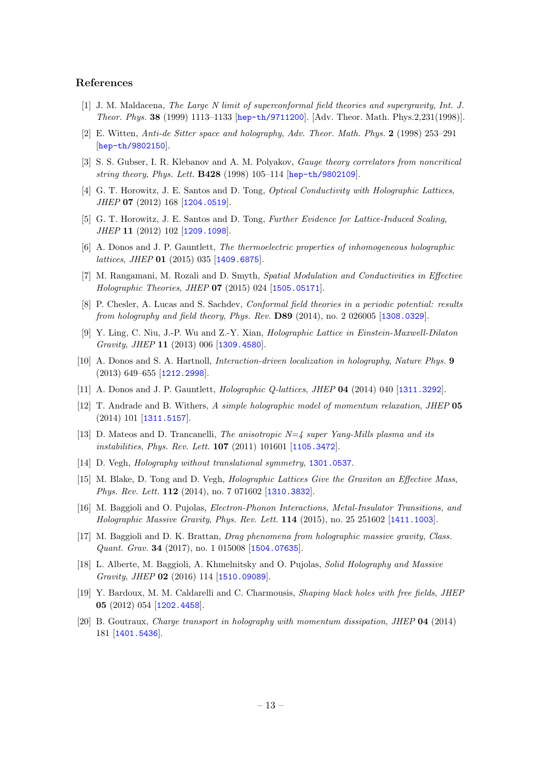#### References

- <span id="page-13-0"></span>[1] J. M. Maldacena, The Large N limit of superconformal field theories and supergravity, Int. J. Theor. Phys. 38 (1999) 1113–1133 [[hep-th/9711200](http://arXiv.org/abs/hep-th/9711200)]. [Adv. Theor. Math. Phys.2,231(1998)].
- [2] E. Witten, Anti-de Sitter space and holography, Adv. Theor. Math. Phys. 2 (1998) 253–291 [[hep-th/9802150](http://arXiv.org/abs/hep-th/9802150)].
- <span id="page-13-1"></span>[3] S. S. Gubser, I. R. Klebanov and A. M. Polyakov, Gauge theory correlators from noncritical string theory, Phys. Lett. B428 (1998) 105–114 [[hep-th/9802109](http://arXiv.org/abs/hep-th/9802109)].
- <span id="page-13-2"></span>[4] G. T. Horowitz, J. E. Santos and D. Tong, *Optical Conductivity with Holographic Lattices*, JHEP 07 (2012) 168 [[1204.0519](http://arXiv.org/abs/1204.0519)].
- <span id="page-13-3"></span>[5] G. T. Horowitz, J. E. Santos and D. Tong, Further Evidence for Lattice-Induced Scaling, JHEP 11 (2012) 102 [[1209.1098](http://arXiv.org/abs/1209.1098)].
- [6] A. Donos and J. P. Gauntlett, The thermoelectric properties of inhomogeneous holographic lattices, JHEP 01 (2015) 035 [[1409.6875](http://arXiv.org/abs/1409.6875)].
- [7] M. Rangamani, M. Rozali and D. Smyth, Spatial Modulation and Conductivities in Effective Holographic Theories, JHEP 07 (2015) 024 [[1505.05171](http://arXiv.org/abs/1505.05171)].
- [8] P. Chesler, A. Lucas and S. Sachdev, Conformal field theories in a periodic potential: results from holography and field theory, Phys. Rev. D89 (2014), no. 2 026005 [[1308.0329](http://arXiv.org/abs/1308.0329)].
- <span id="page-13-4"></span>[9] Y. Ling, C. Niu, J.-P. Wu and Z.-Y. Xian, Holographic Lattice in Einstein-Maxwell-Dilaton Gravity, JHEP 11 (2013) 006 [[1309.4580](http://arXiv.org/abs/1309.4580)].
- <span id="page-13-5"></span>[10] A. Donos and S. A. Hartnoll, Interaction-driven localization in holography, Nature Phys. 9 (2013) 649–655 [[1212.2998](http://arXiv.org/abs/1212.2998)].
- [11] A. Donos and J. P. Gauntlett, Holographic Q-lattices, JHEP 04 (2014) 040 [[1311.3292](http://arXiv.org/abs/1311.3292)].
- <span id="page-13-6"></span>[12] T. Andrade and B. Withers, A simple holographic model of momentum relaxation, JHEP 05 (2014) 101 [[1311.5157](http://arXiv.org/abs/1311.5157)].
- <span id="page-13-7"></span>[13] D. Mateos and D. Trancanelli, The anisotropic  $N=4$  super Yang-Mills plasma and its instabilities, Phys. Rev. Lett. 107 (2011) 101601 [[1105.3472](http://arXiv.org/abs/1105.3472)].
- <span id="page-13-8"></span>[14] D. Vegh, *Holography without translational symmetry*, [1301.0537](http://arXiv.org/abs/1301.0537).
- <span id="page-13-9"></span>[15] M. Blake, D. Tong and D. Vegh, Holographic Lattices Give the Graviton an Effective Mass, Phys. Rev. Lett. **112** (2014), no. 7 071602 [[1310.3832](http://arXiv.org/abs/1310.3832)].
- [16] M. Baggioli and O. Pujolas, Electron-Phonon Interactions, Metal-Insulator Transitions, and Holographic Massive Gravity, Phys. Rev. Lett. 114 (2015), no. 25 251602 [[1411.1003](http://arXiv.org/abs/1411.1003)].
- [17] M. Baggioli and D. K. Brattan, Drag phenomena from holographic massive gravity, Class. Quant. Grav. 34 (2017), no. 1 015008 [[1504.07635](http://arXiv.org/abs/1504.07635)].
- <span id="page-13-10"></span>[18] L. Alberte, M. Baggioli, A. Khmelnitsky and O. Pujolas, Solid Holography and Massive Gravity, JHEP 02 (2016) 114 [[1510.09089](http://arXiv.org/abs/1510.09089)].
- <span id="page-13-12"></span>[19] Y. Bardoux, M. M. Caldarelli and C. Charmousis, Shaping black holes with free fields, JHEP 05 (2012) 054 [[1202.4458](http://arXiv.org/abs/1202.4458)].
- <span id="page-13-11"></span>[20] B. Goutraux, Charge transport in holography with momentum dissipation, JHEP 04 (2014) 181 [[1401.5436](http://arXiv.org/abs/1401.5436)].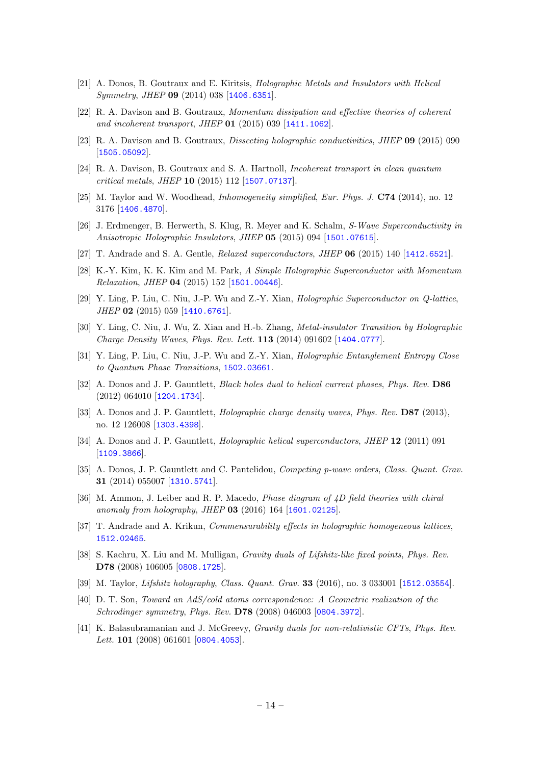- [21] A. Donos, B. Goutraux and E. Kiritsis, Holographic Metals and Insulators with Helical Symmetry, JHEP 09 (2014) 038 [[1406.6351](http://arXiv.org/abs/1406.6351)].
- <span id="page-14-6"></span>[22] R. A. Davison and B. Goutraux, Momentum dissipation and effective theories of coherent and incoherent transport, JHEP 01 (2015) 039 [[1411.1062](http://arXiv.org/abs/1411.1062)].
- [23] R. A. Davison and B. Goutraux, Dissecting holographic conductivities, JHEP 09 (2015) 090 [[1505.05092](http://arXiv.org/abs/1505.05092)].
- [24] R. A. Davison, B. Goutraux and S. A. Hartnoll, Incoherent transport in clean quantum critical metals, JHEP 10 (2015) 112 [[1507.07137](http://arXiv.org/abs/1507.07137)].
- [25] M. Taylor and W. Woodhead, Inhomogeneity simplified, Eur. Phys. J. C74 (2014), no. 12 3176 [[1406.4870](http://arXiv.org/abs/1406.4870)].
- [26] J. Erdmenger, B. Herwerth, S. Klug, R. Meyer and K. Schalm, S-Wave Superconductivity in Anisotropic Holographic Insulators, JHEP 05 (2015) 094 [[1501.07615](http://arXiv.org/abs/1501.07615)].
- [27] T. Andrade and S. A. Gentle, Relaxed superconductors, JHEP 06 (2015) 140 [[1412.6521](http://arXiv.org/abs/1412.6521)].
- [28] K.-Y. Kim, K. K. Kim and M. Park, A Simple Holographic Superconductor with Momentum Relaxation, JHEP 04 (2015) 152 [[1501.00446](http://arXiv.org/abs/1501.00446)].
- [29] Y. Ling, P. Liu, C. Niu, J.-P. Wu and Z.-Y. Xian, Holographic Superconductor on Q-lattice, JHEP 02 (2015) 059 [[1410.6761](http://arXiv.org/abs/1410.6761)].
- [30] Y. Ling, C. Niu, J. Wu, Z. Xian and H.-b. Zhang, Metal-insulator Transition by Holographic Charge Density Waves, Phys. Rev. Lett. 113 (2014) 091602 [[1404.0777](http://arXiv.org/abs/1404.0777)].
- [31] Y. Ling, P. Liu, C. Niu, J.-P. Wu and Z.-Y. Xian, Holographic Entanglement Entropy Close to Quantum Phase Transitions, [1502.03661](http://arXiv.org/abs/1502.03661).
- [32] A. Donos and J. P. Gauntlett, *Black holes dual to helical current phases, Phys. Rev.* **D86** (2012) 064010 [[1204.1734](http://arXiv.org/abs/1204.1734)].
- [33] A. Donos and J. P. Gauntlett, *Holographic charge density waves*, *Phys. Rev.* **D87** (2013), no. 12 126008 [[1303.4398](http://arXiv.org/abs/1303.4398)].
- [34] A. Donos and J. P. Gauntlett, *Holographic helical superconductors*, *JHEP* 12 (2011) 091 [[1109.3866](http://arXiv.org/abs/1109.3866)].
- [35] A. Donos, J. P. Gauntlett and C. Pantelidou, Competing p-wave orders, Class. Quant. Grav. 31 (2014) 055007 [[1310.5741](http://arXiv.org/abs/1310.5741)].
- <span id="page-14-0"></span>[36] M. Ammon, J. Leiber and R. P. Macedo, *Phase diagram of 4D field theories with chiral* anomaly from holography, JHEP 03 (2016) 164 [[1601.02125](http://arXiv.org/abs/1601.02125)].
- <span id="page-14-3"></span>[37] T. Andrade and A. Krikun, *Commensurability effects in holographic homogeneous lattices*, [1512.02465](http://arXiv.org/abs/1512.02465).
- <span id="page-14-1"></span>[38] S. Kachru, X. Liu and M. Mulligan, *Gravity duals of Lifshitz-like fixed points, Phys. Rev.* D78 (2008) 106005 [[0808.1725](http://arXiv.org/abs/0808.1725)].
- <span id="page-14-2"></span>[39] M. Taylor, *Lifshitz holography, Class. Quant. Grav.* **33** (2016), no. 3 033001 [[1512.03554](http://arXiv.org/abs/1512.03554)].
- <span id="page-14-4"></span>[40] D. T. Son, Toward an AdS/cold atoms correspondence: A Geometric realization of the Schrodinger symmetry, Phys. Rev. D78 (2008) 046003 [[0804.3972](http://arXiv.org/abs/0804.3972)].
- <span id="page-14-5"></span>[41] K. Balasubramanian and J. McGreevy, *Gravity duals for non-relativistic CFTs*, *Phys. Rev.* Lett. **101** (2008) 061601 [[0804.4053](http://arXiv.org/abs/0804.4053)].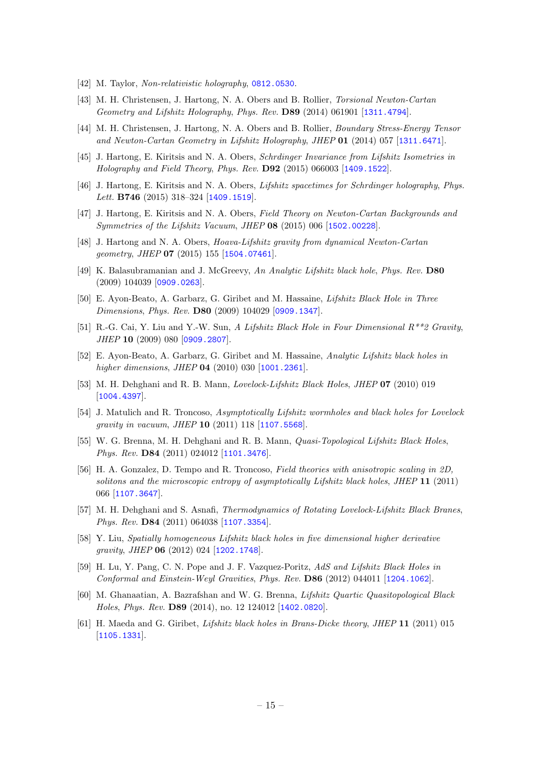- <span id="page-15-0"></span>[42] M. Taylor, Non-relativistic holography, [0812.0530](http://arXiv.org/abs/0812.0530).
- <span id="page-15-1"></span>[43] M. H. Christensen, J. Hartong, N. A. Obers and B. Rollier, Torsional Newton-Cartan Geometry and Lifshitz Holography, Phys. Rev. D89 (2014) 061901 [[1311.4794](http://arXiv.org/abs/1311.4794)].
- [44] M. H. Christensen, J. Hartong, N. A. Obers and B. Rollier, Boundary Stress-Energy Tensor and Newton-Cartan Geometry in Lifshitz Holography, JHEP 01 (2014) 057 [[1311.6471](http://arXiv.org/abs/1311.6471)].
- [45] J. Hartong, E. Kiritsis and N. A. Obers, Schrdinger Invariance from Lifshitz Isometries in Holography and Field Theory, Phys. Rev. D92 (2015) 066003 [[1409.1522](http://arXiv.org/abs/1409.1522)].
- [46] J. Hartong, E. Kiritsis and N. A. Obers, Lifshitz spacetimes for Schrdinger holography, Phys. Lett. **B746** (2015) 318-324 [[1409.1519](http://arXiv.org/abs/1409.1519)].
- [47] J. Hartong, E. Kiritsis and N. A. Obers, Field Theory on Newton-Cartan Backgrounds and Symmetries of the Lifshitz Vacuum, JHEP 08 (2015) 006 [[1502.00228](http://arXiv.org/abs/1502.00228)].
- <span id="page-15-2"></span>[48] J. Hartong and N. A. Obers, Hoava-Lifshitz gravity from dynamical Newton-Cartan geometry, JHEP 07 (2015) 155 [[1504.07461](http://arXiv.org/abs/1504.07461)].
- <span id="page-15-3"></span>[49] K. Balasubramanian and J. McGreevy, An Analytic Lifshitz black hole, Phys. Rev. D80 (2009) 104039 [[0909.0263](http://arXiv.org/abs/0909.0263)].
- <span id="page-15-4"></span>[50] E. Ayon-Beato, A. Garbarz, G. Giribet and M. Hassaine, Lifshitz Black Hole in Three Dimensions, Phys. Rev. D80 (2009) 104029 [[0909.1347](http://arXiv.org/abs/0909.1347)].
- [51] R.-G. Cai, Y. Liu and Y.-W. Sun, A Lifshitz Black Hole in Four Dimensional R\*\*2 Gravity, JHEP 10 (2009) 080 [[0909.2807](http://arXiv.org/abs/0909.2807)].
- [52] E. Ayon-Beato, A. Garbarz, G. Giribet and M. Hassaine, Analytic Lifshitz black holes in higher dimensions, JHEP **04** (2010) 030 [[1001.2361](http://arXiv.org/abs/1001.2361)].
- [53] M. H. Dehghani and R. B. Mann, Lovelock-Lifshitz Black Holes, JHEP 07 (2010) 019 [[1004.4397](http://arXiv.org/abs/1004.4397)].
- [54] J. Matulich and R. Troncoso, Asymptotically Lifshitz wormholes and black holes for Lovelock gravity in vacuum, JHEP 10 (2011) 118 [[1107.5568](http://arXiv.org/abs/1107.5568)].
- [55] W. G. Brenna, M. H. Dehghani and R. B. Mann, Quasi-Topological Lifshitz Black Holes, Phys. Rev. D84 (2011) 024012 [[1101.3476](http://arXiv.org/abs/1101.3476)].
- [56] H. A. Gonzalez, D. Tempo and R. Troncoso, Field theories with anisotropic scaling in 2D, solitons and the microscopic entropy of asymptotically Lifshitz black holes, JHEP 11 (2011) 066 [[1107.3647](http://arXiv.org/abs/1107.3647)].
- [57] M. H. Dehghani and S. Asnafi, *Thermodynamics of Rotating Lovelock-Lifshitz Black Branes*. Phys. Rev. D84 (2011) 064038 [[1107.3354](http://arXiv.org/abs/1107.3354)].
- [58] Y. Liu, Spatially homogeneous Lifshitz black holes in five dimensional higher derivative gravity, JHEP 06 (2012) 024 [[1202.1748](http://arXiv.org/abs/1202.1748)].
- [59] H. Lu, Y. Pang, C. N. Pope and J. F. Vazquez-Poritz, AdS and Lifshitz Black Holes in Conformal and Einstein-Weyl Gravities, Phys. Rev. D86 (2012) 044011 [[1204.1062](http://arXiv.org/abs/1204.1062)].
- <span id="page-15-5"></span>[60] M. Ghanaatian, A. Bazrafshan and W. G. Brenna, Lifshitz Quartic Quasitopological Black Holes, Phys. Rev. D89 (2014), no. 12 124012 [[1402.0820](http://arXiv.org/abs/1402.0820)].
- <span id="page-15-6"></span>[61] H. Maeda and G. Giribet, Lifshitz black holes in Brans-Dicke theory, JHEP 11 (2011) 015 [[1105.1331](http://arXiv.org/abs/1105.1331)].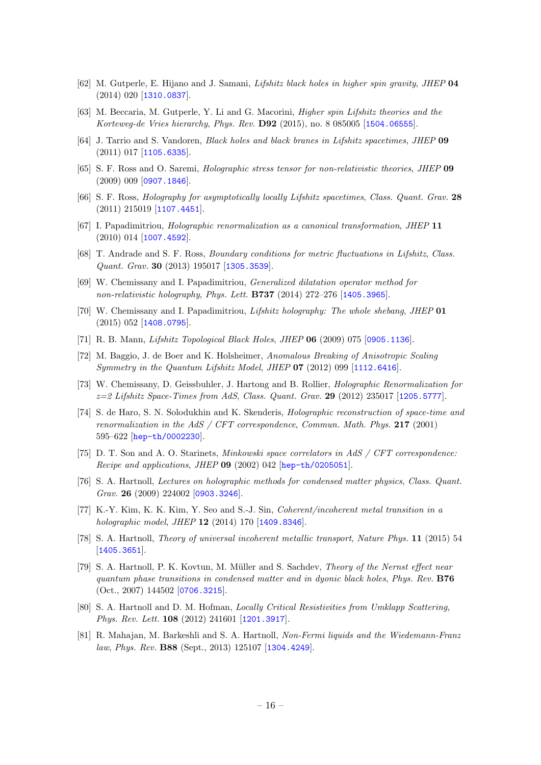- <span id="page-16-0"></span>[62] M. Gutperle, E. Hijano and J. Samani, Lifshitz black holes in higher spin gravity, JHEP 04 (2014) 020 [[1310.0837](http://arXiv.org/abs/1310.0837)].
- <span id="page-16-1"></span>[63] M. Beccaria, M. Gutperle, Y. Li and G. Macorini, Higher spin Lifshitz theories and the Korteweg-de Vries hierarchy, Phys. Rev. D92 (2015), no. 8 085005 [[1504.06555](http://arXiv.org/abs/1504.06555)].
- <span id="page-16-2"></span>[64] J. Tarrio and S. Vandoren, Black holes and black branes in Lifshitz spacetimes, JHEP 09 (2011) 017 [[1105.6335](http://arXiv.org/abs/1105.6335)].
- <span id="page-16-3"></span>[65] S. F. Ross and O. Saremi, Holographic stress tensor for non-relativistic theories, JHEP 09  $(2009)$  009  $[0907.1846]$  $[0907.1846]$  $[0907.1846]$ .
- <span id="page-16-4"></span>[66] S. F. Ross, Holography for asymptotically locally Lifshitz spacetimes, Class. Quant. Grav. 28 (2011) 215019 [[1107.4451](http://arXiv.org/abs/1107.4451)].
- <span id="page-16-5"></span>[67] I. Papadimitriou, Holographic renormalization as a canonical transformation, JHEP 11 (2010) 014 [[1007.4592](http://arXiv.org/abs/1007.4592)].
- <span id="page-16-6"></span>[68] T. Andrade and S. F. Ross, Boundary conditions for metric fluctuations in Lifshitz, Class. Quant. Grav. 30 (2013) 195017 [[1305.3539](http://arXiv.org/abs/1305.3539)].
- <span id="page-16-7"></span>[69] W. Chemissany and I. Papadimitriou, Generalized dilatation operator method for non-relativistic holography, Phys. Lett. B737 (2014) 272–276 [[1405.3965](http://arXiv.org/abs/1405.3965)].
- <span id="page-16-8"></span>[70] W. Chemissany and I. Papadimitriou, Lifshitz holography: The whole shebang, JHEP 01 (2015) 052 [[1408.0795](http://arXiv.org/abs/1408.0795)].
- <span id="page-16-9"></span>[71] R. B. Mann, Lifshitz Topological Black Holes, JHEP 06 (2009) 075 [[0905.1136](http://arXiv.org/abs/0905.1136)].
- <span id="page-16-10"></span>[72] M. Baggio, J. de Boer and K. Holsheimer, Anomalous Breaking of Anisotropic Scaling Symmetry in the Quantum Lifshitz Model, JHEP 07 (2012) 099 [[1112.6416](http://arXiv.org/abs/1112.6416)].
- <span id="page-16-11"></span>[73] W. Chemissany, D. Geissbuhler, J. Hartong and B. Rollier, Holographic Renormalization for  $z=2$  Lifshitz Space-Times from AdS, Class. Quant. Grav. 29 (2012) 235017 [[1205.5777](http://arXiv.org/abs/1205.5777)].
- <span id="page-16-12"></span>[74] S. de Haro, S. N. Solodukhin and K. Skenderis, Holographic reconstruction of space-time and renormalization in the AdS / CFT correspondence, Commun. Math. Phys. 217 (2001) 595–622 [[hep-th/0002230](http://arXiv.org/abs/hep-th/0002230)].
- <span id="page-16-13"></span>[75] D. T. Son and A. O. Starinets, *Minkowski space correlators in AdS / CFT correspondence:* Recipe and applications, JHEP 09 (2002) 042 [[hep-th/0205051](http://arXiv.org/abs/hep-th/0205051)].
- <span id="page-16-17"></span>[76] S. A. Hartnoll, Lectures on holographic methods for condensed matter physics, Class. Quant. Grav. 26 (2009) 224002 [[0903.3246](http://arXiv.org/abs/0903.3246)].
- <span id="page-16-14"></span>[77] K.-Y. Kim, K. K. Kim, Y. Seo and S.-J. Sin, Coherent/incoherent metal transition in a holographic model, JHEP 12 (2014) 170 [[1409.8346](http://arXiv.org/abs/1409.8346)].
- <span id="page-16-18"></span>[78] S. A. Hartnoll, Theory of universal incoherent metallic transport, Nature Phys. 11 (2015) 54 [[1405.3651](http://arXiv.org/abs/1405.3651)].
- <span id="page-16-15"></span>[79] S. A. Hartnoll, P. K. Kovtun, M. Müller and S. Sachdev, *Theory of the Nernst effect near* quantum phase transitions in condensed matter and in dyonic black holes, Phys. Rev. B76 (Oct., 2007) 144502 [[0706.3215](http://arXiv.org/abs/0706.3215)].
- [80] S. A. Hartnoll and D. M. Hofman, *Locally Critical Resistivities from Umklapp Scattering*, Phys. Rev. Lett. 108 (2012) 241601 [[1201.3917](http://arXiv.org/abs/1201.3917)].
- <span id="page-16-16"></span>[81] R. Mahajan, M. Barkeshli and S. A. Hartnoll, Non-Fermi liquids and the Wiedemann-Franz law, Phys. Rev. B88 (Sept., 2013) 125107 [[1304.4249](http://arXiv.org/abs/1304.4249)].